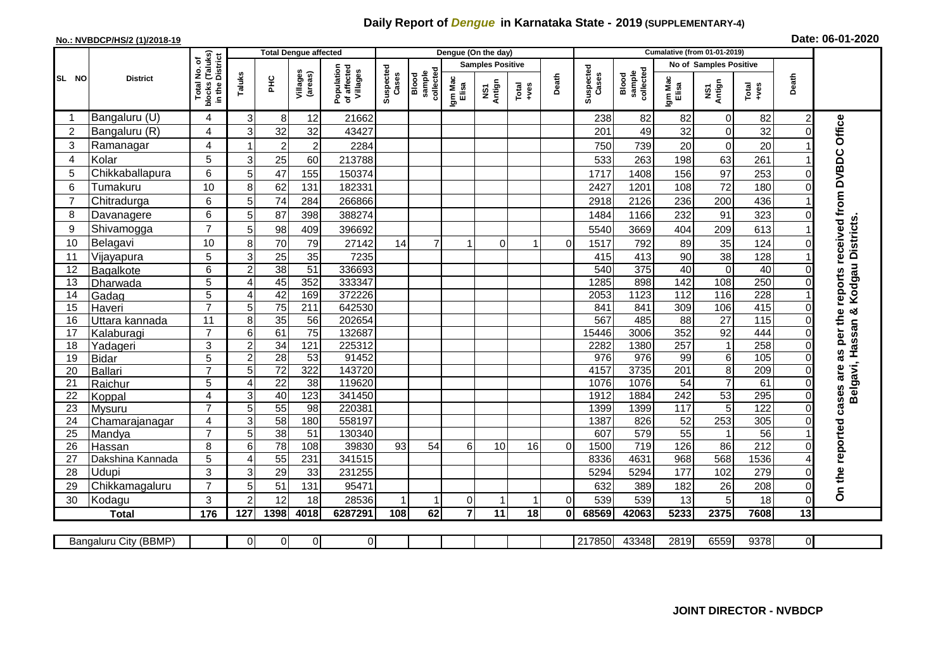## **Daily Report of** *Dengue* **in Karnataka State - 2019 (SUPPLEMENTARY-4)**

## **No.: NVBDCP/HS/2 (1)/2018-19 Date: 06-01-2020**

|                |                       | <b>Total Dengue affected</b><br>(Taluks)<br>৳ |                |                 |                         |                                       |                    |                              |                  | Dengue (On the day)     |                 |                |                    |                              |                  |                        |                          |                                |                                                           |
|----------------|-----------------------|-----------------------------------------------|----------------|-----------------|-------------------------|---------------------------------------|--------------------|------------------------------|------------------|-------------------------|-----------------|----------------|--------------------|------------------------------|------------------|------------------------|--------------------------|--------------------------------|-----------------------------------------------------------|
|                |                       |                                               |                |                 |                         |                                       |                    |                              |                  | <b>Samples Positive</b> |                 |                |                    |                              |                  | No of Samples Positive |                          |                                |                                                           |
| SL NO          | <b>District</b>       | in the District<br>Total No.<br>blocks        | Taluks         | <b>PHC</b>      | Villages<br>(areas)     | Population<br>of affected<br>Villages | Suspected<br>Cases | collected<br>sample<br>Blood | Igm Mac<br>Elisa | Antign<br>Σή            | Total<br>$-ves$ | Death          | Suspected<br>Cases | sample<br>collected<br>Blood | Igm Mac<br>Elisa | NS1<br>Antign          | Total<br>+ves            | Death                          |                                                           |
|                | Bangaluru (U)         | 4                                             | 3              | 8               | 12                      | 21662                                 |                    |                              |                  |                         |                 |                | 238                | 82                           | 82               | $\overline{0}$         | 82                       | $\overline{\mathbf{c}}$        |                                                           |
| $\overline{2}$ | Bangaluru (R)         | 4                                             | 3              | 32              | 32                      | 43427                                 |                    |                              |                  |                         |                 |                | 201                | 49                           | 32               | $\Omega$               | 32                       | $\Omega$                       | Office                                                    |
| 3              | Ramanagar             | $\overline{\mathbf{4}}$                       |                | 2               | $\overline{2}$          | 2284                                  |                    |                              |                  |                         |                 |                | 750                | 739                          | 20               | $\Omega$               | 20                       |                                |                                                           |
| 4              | Kolar                 | 5                                             | 3              | 25              | 60                      | 213788                                |                    |                              |                  |                         |                 |                | 533                | 263                          | 198              | 63                     | 261                      |                                |                                                           |
| 5              | Chikkaballapura       | 6                                             | 5              | 47              | 155                     | 150374                                |                    |                              |                  |                         |                 |                | 1717               | 1408                         | 156              | 97                     | 253                      | $\Omega$                       |                                                           |
| 6              | Tumakuru              | 10                                            | 8              | 62              | 131                     | 182331                                |                    |                              |                  |                         |                 |                | 2427               | 1201                         | 108              | 72                     | 180                      |                                |                                                           |
| 7              | Chitradurga           | 6                                             | 5              | 74              | 284                     | 266866                                |                    |                              |                  |                         |                 |                | 2918               | 2126                         | 236              | 200                    | 436                      |                                |                                                           |
| 8              | Davanagere            | 6                                             | 5              | 87              | 398                     | 388274                                |                    |                              |                  |                         |                 |                | 1484               | 1166                         | 232              | 91                     | 323                      |                                |                                                           |
| 9              | Shivamogga            | $\overline{7}$                                | 5              | 98              | 409                     | 396692                                |                    |                              |                  |                         |                 |                | 5540               | 3669                         | 404              | 209                    | 613                      |                                | received from DVBDC<br>Belgavi, Hassan & Kodgau Districts |
| 10             | Belagavi              | 10                                            | 8              | 70              | 79                      | 27142                                 | 14                 | 7                            | 1                | $\Omega$                | 1               | $\Omega$       | 1517               | 792                          | 89               | 35                     | 124                      | ∩                              |                                                           |
| 11             | Vijayapura            | 5                                             | 3              | 25              | 35                      | 7235                                  |                    |                              |                  |                         |                 |                | 415                | 413                          | 90               | 38                     | 128                      |                                |                                                           |
| 12             | Bagalkote             | 6                                             | $\overline{2}$ | 38              | $\overline{51}$         | 336693                                |                    |                              |                  |                         |                 |                | 540                | 375                          | 40               | $\Omega$               | 40                       |                                |                                                           |
| 13             | Dharwada              | $\overline{5}$                                | 4              | 45              | 352                     | 333347                                |                    |                              |                  |                         |                 |                | 1285               | 898                          | 142              | 108                    | 250                      | $\Omega$                       | reports                                                   |
| 14             | Gadag                 | $\overline{5}$                                | 4              | 42              | 169                     | 372226                                |                    |                              |                  |                         |                 |                | 2053               | 1123                         | 112              | 116                    | 228                      |                                |                                                           |
| 15             | Haveri                | $\overline{7}$                                | 5              | $\overline{75}$ | 211                     | 642530                                |                    |                              |                  |                         |                 |                | 841                | 841                          | 309              | 106                    | 415                      | 0                              |                                                           |
| 16             | Uttara kannada        | $\overline{11}$                               | 8              | 35              | 56                      | 202654                                |                    |                              |                  |                         |                 |                | 567                | 485                          | $\overline{88}$  | $\overline{27}$        | 115                      | 0                              | per the                                                   |
| 17             | Kalaburagi            | $\overline{7}$                                | 6              | 61              | $\overline{75}$         | 132687                                |                    |                              |                  |                         |                 |                | 15446              | 3006                         | 352              | 92                     | 444                      | $\Omega$                       |                                                           |
| 18             | Yadageri              | 3                                             | $\overline{2}$ | $\overline{34}$ | 121                     | 225312                                |                    |                              |                  |                         |                 |                | 2282               | 1380                         | 257              |                        | 258                      | $\Omega$                       |                                                           |
| 19             | <b>Bidar</b>          | $\overline{5}$                                | $\overline{2}$ | 28              | 53                      | 91452                                 |                    |                              |                  |                         |                 |                | 976                | 976                          | 99               | $6 \mid$               | 105                      | $\Omega$                       | 8g                                                        |
| 20             | <b>Ballari</b>        | $\overline{7}$                                | 5              | $\overline{72}$ | 322                     | 143720                                |                    |                              |                  |                         |                 |                | 4157               | 3735                         | 201              | 8 <sup>1</sup>         | 209                      | $\Omega$                       | are                                                       |
| 21             | Raichur               | 5                                             | 4              | $\overline{22}$ | $\overline{38}$         | 119620                                |                    |                              |                  |                         |                 |                | 1076               | 1076                         | $\overline{54}$  | $\overline{7}$         | 61                       | $\Omega$                       |                                                           |
| 22             | Koppal                | $\overline{4}$                                | 3              | 40              | $\overline{123}$        | 341450                                |                    |                              |                  |                         |                 |                | 1912               | 1884                         | 242              | 53                     | 295                      | $\overline{0}$                 | cases                                                     |
| 23             | <b>Mysuru</b>         | $\overline{7}$                                | 5              | 55              | $\overline{98}$         | 220381                                |                    |                              |                  |                         |                 |                | 1399               | 1399                         | 117              | 5 <sub>l</sub>         | 122                      | $\Omega$                       |                                                           |
| 24             | Chamarajanagar        | 4                                             | 3              | 58              | 180                     | 558197                                |                    |                              |                  |                         |                 |                | 1387               | 826                          | 52               | 253                    | 305                      | $\Omega$                       |                                                           |
| 25             | Mandya                | $\overline{7}$                                | 5              | $\overline{38}$ | $\overline{51}$         | 130340                                |                    |                              |                  |                         |                 |                | 607                | 579                          | 55               |                        | 56                       |                                |                                                           |
| 26<br>27       | Hassan                | 8<br>$\overline{5}$                           | 6<br>4         | $\overline{78}$ | 108<br>$\overline{231}$ | 39830                                 | 93                 | 54                           | 6                | 10                      | 16              | 0              | 1500               | $\overline{719}$             | 126              | 86                     | $\overline{212}$<br>1536 | $\Omega$                       |                                                           |
|                | Dakshina Kannada      |                                               |                | $\overline{55}$ |                         | 341515                                |                    |                              |                  |                         |                 |                | 8336               | 4631                         | 968              | 568                    |                          |                                |                                                           |
| 28             | Udupi                 | 3<br>$\overline{7}$                           | 3              | 29<br>51        | 33                      | 231255                                |                    |                              |                  |                         |                 |                | 5294               | 5294                         | 177              | 102                    | 279                      | $\Omega$                       |                                                           |
| 29             | Chikkamagaluru        | 3                                             | 5<br>2         | 12              | 131                     | 95471                                 | -1                 |                              |                  | $\mathbf 1$             | 1               |                | 632<br>539         | 389                          | 182              | 26                     | 208<br>18                | $\mathbf{0}$<br>$\overline{0}$ | On the reported                                           |
| 30             | Kodagu                |                                               |                |                 | 18                      | 28536                                 |                    | $\mathbf{1}$                 | $\mathbf 0$      |                         |                 | $\overline{0}$ |                    | 539                          | 13               | 5 <sub>l</sub>         |                          |                                |                                                           |
|                | <b>Total</b>          | 176                                           | 127            | 1398            | 4018                    | 6287291                               | 108                | 62                           | $\overline{7}$   | $\overline{11}$         | 18              | $\mathbf{0}$   | 68569              | 42063                        | 5233             | 2375                   | 7608                     | $\overline{13}$                |                                                           |
|                |                       |                                               | $\Omega$       | $\overline{0}$  | $\overline{0}$          | $\overline{0}$                        |                    |                              |                  |                         |                 |                | 217850             | 43348                        | 2819             | 6559                   | 9378                     | $\overline{0}$                 |                                                           |
|                | Bangaluru City (BBMP) |                                               |                |                 |                         |                                       |                    |                              |                  |                         |                 |                |                    |                              |                  |                        |                          |                                |                                                           |